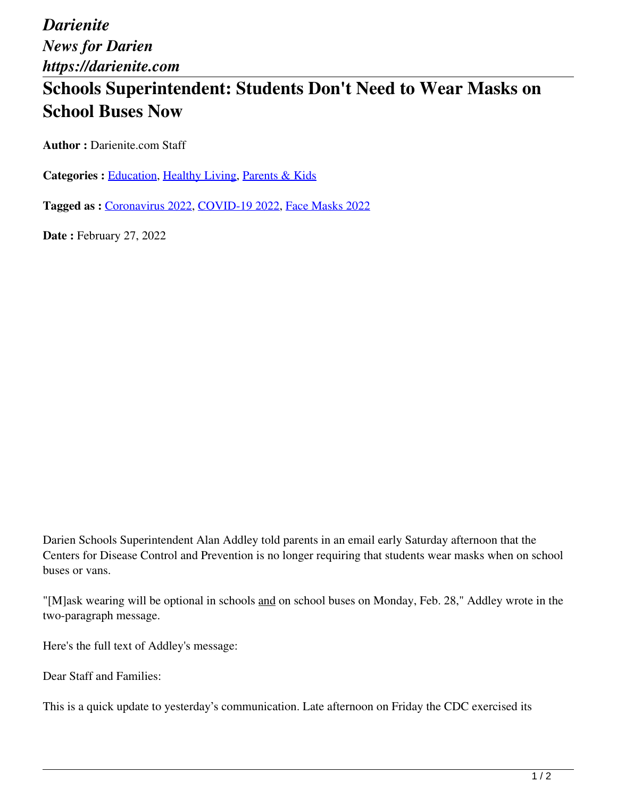*Darienite News for Darien https://darienite.com*

## **Schools Superintendent: Students Don't Need to Wear Masks on School Buses Now**

**Author :** Darienite.com Staff

Categories : **Education**, Healthy Living, Parents & Kids

**Tagged as :** Coronavirus 2022, COVID-19 2022, Face Masks 2022

**Date : February 27, 2022** 

Darien Schools Superintendent Alan Addley told parents in an email early Saturday afternoon that the Centers for Disease Control and Prevention is no longer requiring that students wear masks when on school buses or vans.

"[M]ask wearing will be optional in schools and on school buses on Monday, Feb. 28," Addley wrote in the two-paragraph message.

Here's the full text of Addley's message:

Dear Staff and Families:

This is a quick update to yesterday's communication. Late afternoon on Friday the CDC exercised its